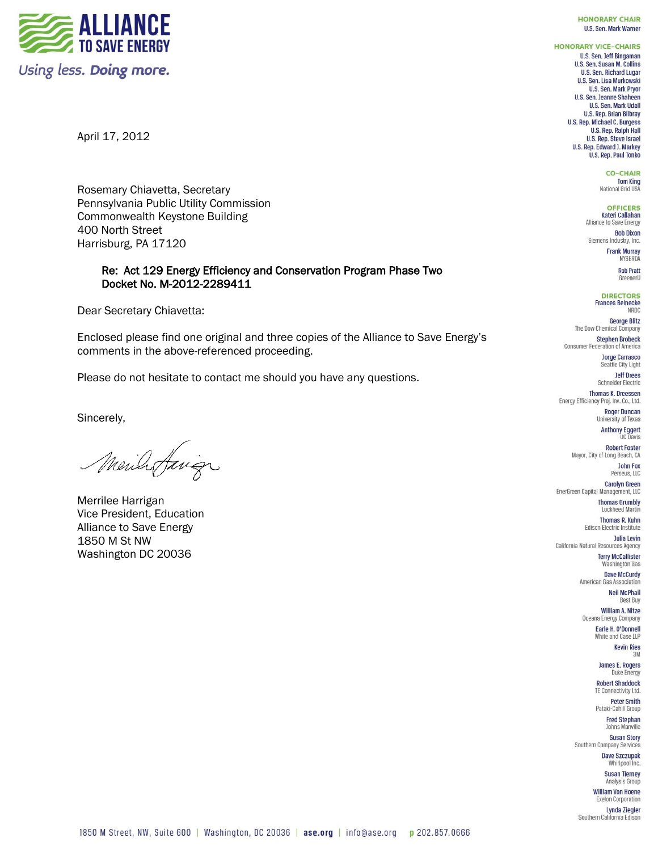**TO SAVE ENERGY** Using less. Doing more. **HONORARY CHAIR U.S. Sen. Mark Warner** 

**HONORARY VICE-CHAIRS U.S. Sen. Jeff Bingaman** U.S. Sen. Susan M. Collins **U.S. Sen. Richard Lugar** U.S. Sen. Lisa Murkowski **U.S. Sen. Mark Pryor** U.S. Sen. Jeanne Shaheen **U.S. Sen. Mark Udall U.S. Rep. Brian Bilbray U.S. Rep. Michael C. Burgess U.S. Rep. Ralph Hall** U.S. Rep. Steve Israel U.S. Rep. Edward J. Markey U.S. Rep. Paul Tonko

> **CO-CHAIR Tom King**<br>National Grid USA

**OFFICERS Kateri Callahan** Alliance to Save Energy **Bob Dixon** Siemens Industry, Inc.

> **Frank Murray** NYSERDA

> > **Rob Pratt** GreenerU

**DIRECTORS Frances Beinecke** NRDC

**George Blitz** The Dow Chemical Company **Stephen Brobeck** Consumer Federation of America

> **Jorge Carrasco** Seattle City Light **Jeff Drees**

Schneider Electric **Thomas K. Dreessen** 

Energy Efficiency Proj. Inv. Co., Ltd. **Roger Duncan** 

University of Texas **Anthony Eggert UC Davis** 

**Robert Foster** Mayor, City of Long Beach, CA

**John Fox** Perseus, LLC Carolyn Green EnerGreen Capital Management, LLC

> **Thomas Grumbly** Lockheed Martin **Thomas R. Kuhn**

Edison Electric Institute **Julia Levin** California Natural Resources Agency

**Terry McCallister** Washington Gas **Dave McCurdy** 

American Gas Association **Neil McPhail** 

**Best Buy** William A. Nitze Oceana Energy Company

Earle H. O'Donnell White and Case LLP

**Kevin Ries**  $3M$ 

James E. Rogers Duke Energy **Robert Shaddock** 

**TE Connectivity Ltd. Peter Smith** 

Pataki-Cahill Group **Fred Stephan** 

Johns Manville **Susan Story** 

Southern Company Services **Dave Szczupak** 

Whirlpool Inc. **Susan Tierney** 

Analysis Group **William Von Hoene** 

**Exelon Corporation** Lynda Ziegler Southern California Edison

April 17, 2012

Rosemary Chiavetta, Secretary Pennsylvania Public Utility Commission Commonwealth Keystone Building 400 North Street Harrisburg, PA 17120

# Re: Act 129 Energy Efficiency and Conservation Program Phase Two Docket No. M-2012-2289411

Dear Secretary Chiavetta:

Enclosed please find one original and three copies of the Alliance to Save Energy's comments in the above-referenced proceeding.

Please do not hesitate to contact me should you have any questions.

Sincerely,

Merila Juige

Merrilee Harrigan Vice President, Education Alliance to Save Energy 1850 M St NW Washington DC 20036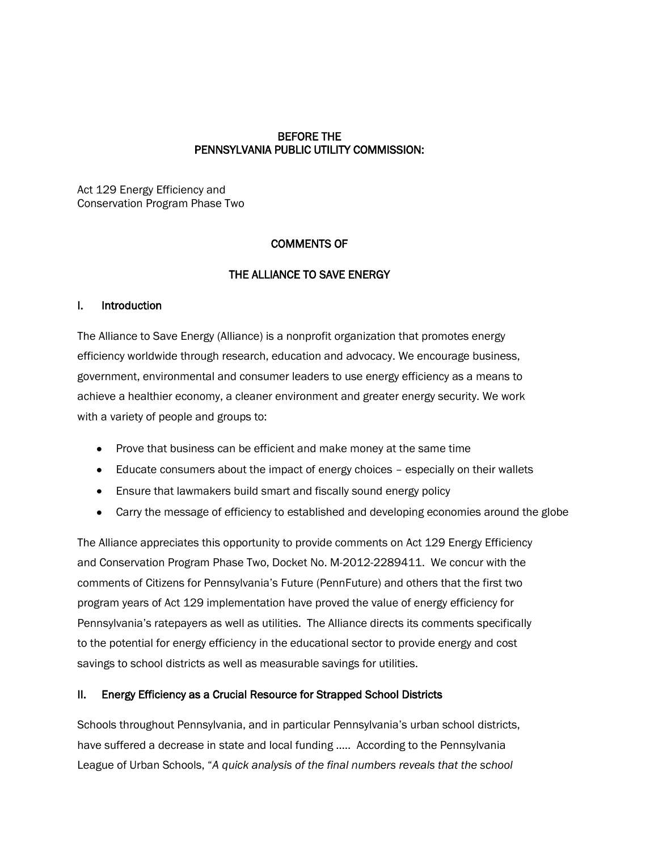## BEFORE THE PENNSYLVANIA PUBLIC UTILITY COMMISSION:

Act 129 Energy Efficiency and Conservation Program Phase Two

# COMMENTS OF

## THE ALLIANCE TO SAVE ENERGY

#### I. Introduction

The Alliance to Save Energy (Alliance) is a nonprofit organization that promotes energy efficiency worldwide through research, education and advocacy. We encourage business, government, environmental and consumer leaders to use energy efficiency as a means to achieve a healthier economy, a cleaner environment and greater energy security. We work with a variety of people and groups to:

- Prove that business can be efficient and make money at the same time
- Educate consumers about the impact of energy choices especially on their wallets
- Ensure that lawmakers build smart and fiscally sound energy policy
- Carry the message of efficiency to established and developing economies around the globe

The Alliance appreciates this opportunity to provide comments on Act 129 Energy Efficiency and Conservation Program Phase Two, Docket No. M-2012-2289411. We concur with the comments of Citizens for Pennsylvania's Future (PennFuture) and others that the first two program years of Act 129 implementation have proved the value of energy efficiency for Pennsylvania's ratepayers as well as utilities. The Alliance directs its comments specifically to the potential for energy efficiency in the educational sector to provide energy and cost savings to school districts as well as measurable savings for utilities.

#### II. Energy Efficiency as a Crucial Resource for Strapped School Districts

Schools throughout Pennsylvania, and in particular Pennsylvania's urban school districts, have suffered a decrease in state and local funding ….. According to the Pennsylvania League of Urban Schools, "*A quick analysis of the final numbers reveals that the school*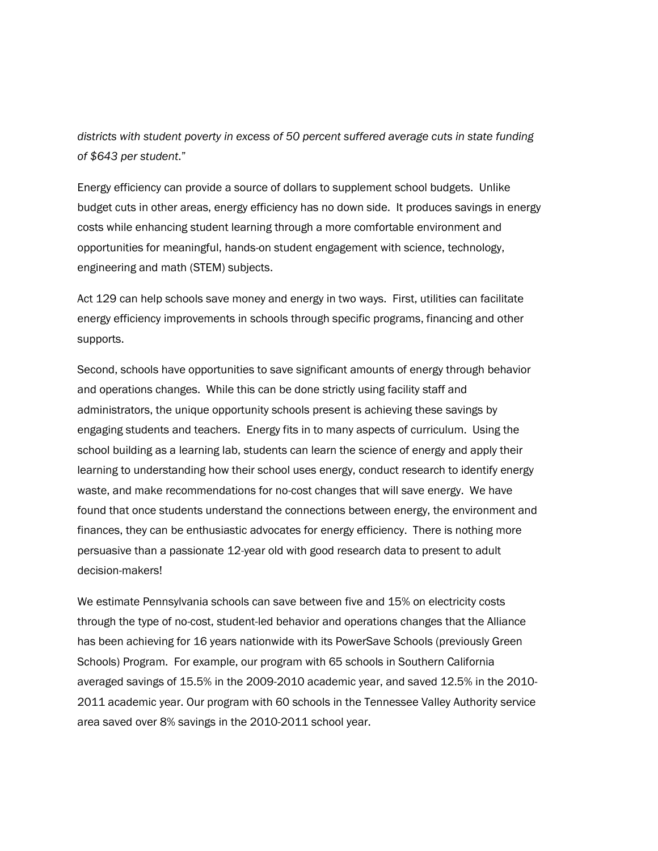*districts with student poverty in excess of 50 percent suffered average cuts in state funding of \$643 per student*."

Energy efficiency can provide a source of dollars to supplement school budgets. Unlike budget cuts in other areas, energy efficiency has no down side. It produces savings in energy costs while enhancing student learning through a more comfortable environment and opportunities for meaningful, hands-on student engagement with science, technology, engineering and math (STEM) subjects.

Act 129 can help schools save money and energy in two ways. First, utilities can facilitate energy efficiency improvements in schools through specific programs, financing and other supports.

Second, schools have opportunities to save significant amounts of energy through behavior and operations changes. While this can be done strictly using facility staff and administrators, the unique opportunity schools present is achieving these savings by engaging students and teachers. Energy fits in to many aspects of curriculum. Using the school building as a learning lab, students can learn the science of energy and apply their learning to understanding how their school uses energy, conduct research to identify energy waste, and make recommendations for no-cost changes that will save energy. We have found that once students understand the connections between energy, the environment and finances, they can be enthusiastic advocates for energy efficiency. There is nothing more persuasive than a passionate 12-year old with good research data to present to adult decision-makers!

We estimate Pennsylvania schools can save between five and 15% on electricity costs through the type of no-cost, student-led behavior and operations changes that the Alliance has been achieving for 16 years nationwide with its PowerSave Schools (previously Green Schools) Program. For example, our program with 65 schools in Southern California averaged savings of 15.5% in the 2009-2010 academic year, and saved 12.5% in the 2010- 2011 academic year. Our program with 60 schools in the Tennessee Valley Authority service area saved over 8% savings in the 2010-2011 school year.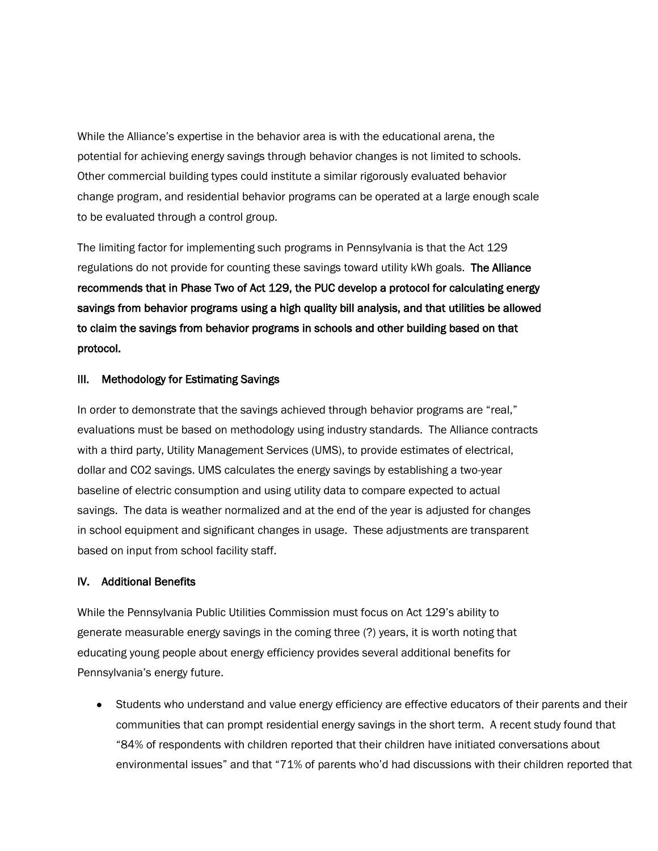While the Alliance's expertise in the behavior area is with the educational arena, the potential for achieving energy savings through behavior changes is not limited to schools. Other commercial building types could institute a similar rigorously evaluated behavior change program, and residential behavior programs can be operated at a large enough scale to be evaluated through a control group.

The limiting factor for implementing such programs in Pennsylvania is that the Act 129 regulations do not provide for counting these savings toward utility kWh goals. The Alliance recommends that in Phase Two of Act 129, the PUC develop a protocol for calculating energy savings from behavior programs using a high quality bill analysis, and that utilities be allowed to claim the savings from behavior programs in schools and other building based on that protocol.

#### III. Methodology for Estimating Savings

In order to demonstrate that the savings achieved through behavior programs are "real," evaluations must be based on methodology using industry standards. The Alliance contracts with a third party, Utility Management Services (UMS), to provide estimates of electrical, dollar and CO2 savings. UMS calculates the energy savings by establishing a two-year baseline of electric consumption and using utility data to compare expected to actual savings. The data is weather normalized and at the end of the year is adjusted for changes in school equipment and significant changes in usage. These adjustments are transparent based on input from school facility staff.

#### IV. Additional Benefits

While the Pennsylvania Public Utilities Commission must focus on Act 129's ability to generate measurable energy savings in the coming three (?) years, it is worth noting that educating young people about energy efficiency provides several additional benefits for Pennsylvania's energy future.

Students who understand and value energy efficiency are effective educators of their parents and their communities that can prompt residential energy savings in the short term. A recent study found that "84% of respondents with children reported that their children have initiated conversations about environmental issues" and that "71% of parents who'd had discussions with their children reported that